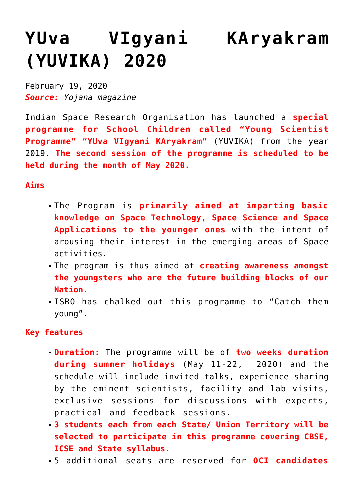## **[YUva VIgyani KAryakram](https://journalsofindia.com/yuva-vigyani-karyakram-yuvika-2020/) [\(YUVIKA\) 2020](https://journalsofindia.com/yuva-vigyani-karyakram-yuvika-2020/)**

February 19, 2020 *Source: Yojana magazine*

Indian Space Research Organisation has launched a **special programme for School Children called "Young Scientist Programme" "YUva VIgyani KAryakram"** (YUVIKA) from the year 2019. **The second session of the programme is scheduled to be held during the month of May 2020.** 

**Aims** 

- The Program is **primarily aimed at imparting basic knowledge on Space Technology, Space Science and Space Applications to the younger ones** with the intent of arousing their interest in the emerging areas of Space activities.
- The program is thus aimed at **creating awareness amongst the youngsters who are the future building blocks of our Nation.**
- ISRO has chalked out this programme to "Catch them young".

## **Key features**

- **Duration:** The programme will be of **two weeks duration during summer holidays** (May 11-22, 2020) and the schedule will include invited talks, experience sharing by the eminent scientists, facility and lab visits, exclusive sessions for discussions with experts, practical and feedback sessions.
- **3 students each from each State/ Union Territory will be selected to participate in this programme covering CBSE, ICSE and State syllabus.**
- 5 additional seats are reserved for **OCI candidates**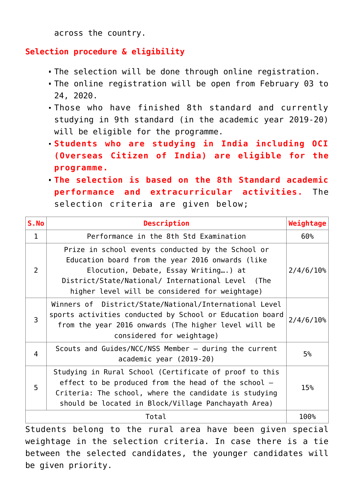across the country.

## **Selection procedure & eligibility**

- The selection will be done through online registration.
- The online registration will be open from February 03 to 24, 2020.
- Those who have finished 8th standard and currently studying in 9th standard (in the academic year 2019-20) will be eligible for the programme.
- **Students who are studying in India including OCI (Overseas Citizen of India) are eligible for the programme.**
- **The selection is based on the 8th Standard academic performance and extracurricular activities.** The selection criteria are given below;

| S.No         | Description                                                                                                                                                                                                                                          | Weightage    |
|--------------|------------------------------------------------------------------------------------------------------------------------------------------------------------------------------------------------------------------------------------------------------|--------------|
| $\mathbf{1}$ | Performance in the 8th Std Examination                                                                                                                                                                                                               | 60%          |
| 2            | Prize in school events conducted by the School or<br>Education board from the year 2016 onwards (like<br>Elocution, Debate, Essay Writing) at<br>District/State/National/ International Level (The<br>higher level will be considered for weightage) | 2/4/6/10%    |
| 3            | Winners of District/State/National/International Level<br>sports activities conducted by School or Education board<br>from the year 2016 onwards (The higher level will be<br>considered for weightage)                                              | $2/4/6/10$ % |
| 4            | Scouts and Guides/NCC/NSS Member - during the current<br>academic year (2019-20)                                                                                                                                                                     | 5%           |
| 5            | Studying in Rural School (Certificate of proof to this<br>effect to be produced from the head of the school $-$<br>Criteria: The school, where the candidate is studying<br>should be located in Block/Village Panchayath Area)                      | 15%          |
| Total        |                                                                                                                                                                                                                                                      | 100%         |

Students belong to the rural area have been given special weightage in the selection criteria. In case there is a tie between the selected candidates, the younger candidates will be given priority.